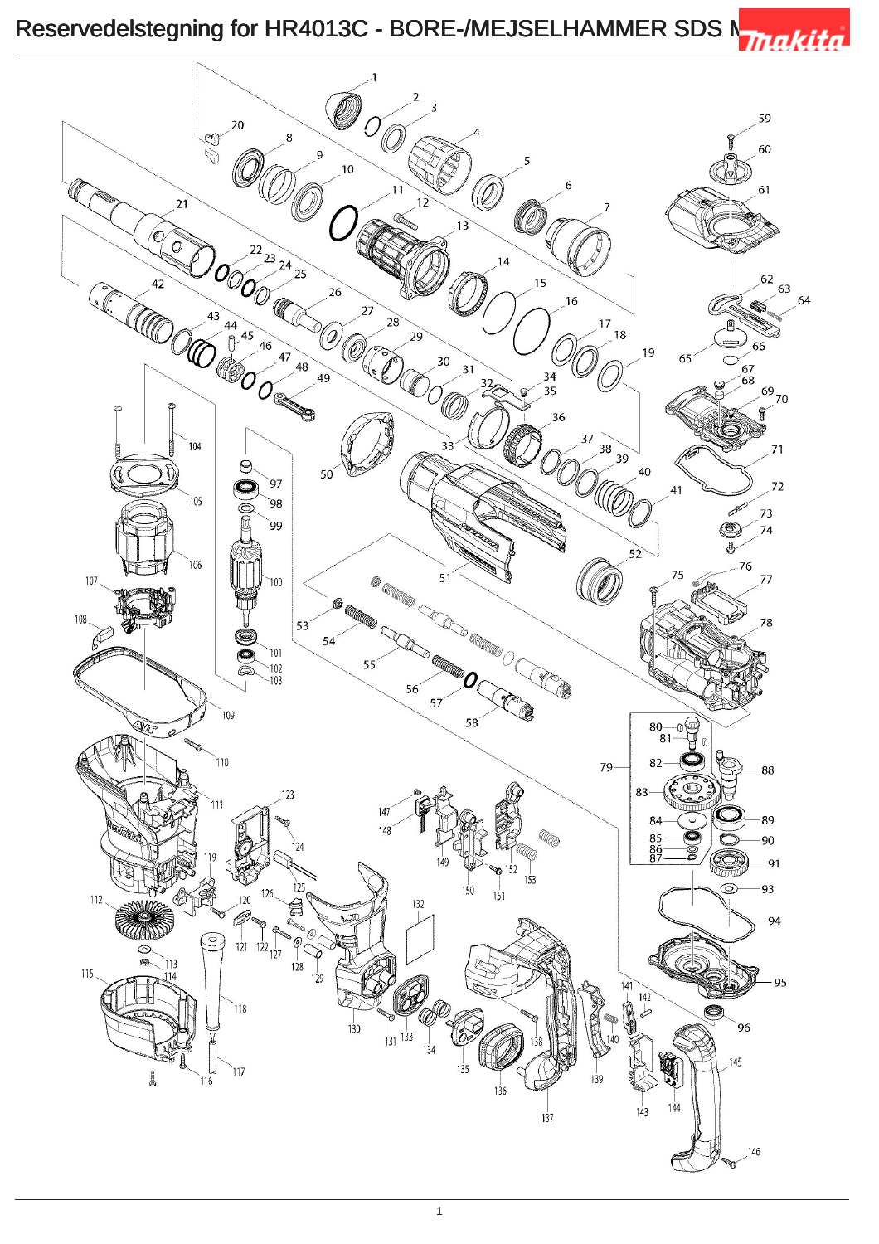## Reservedelstegning for HR4013C - BORE-/MEJSELHAMMER SDS Nuncle Trakita

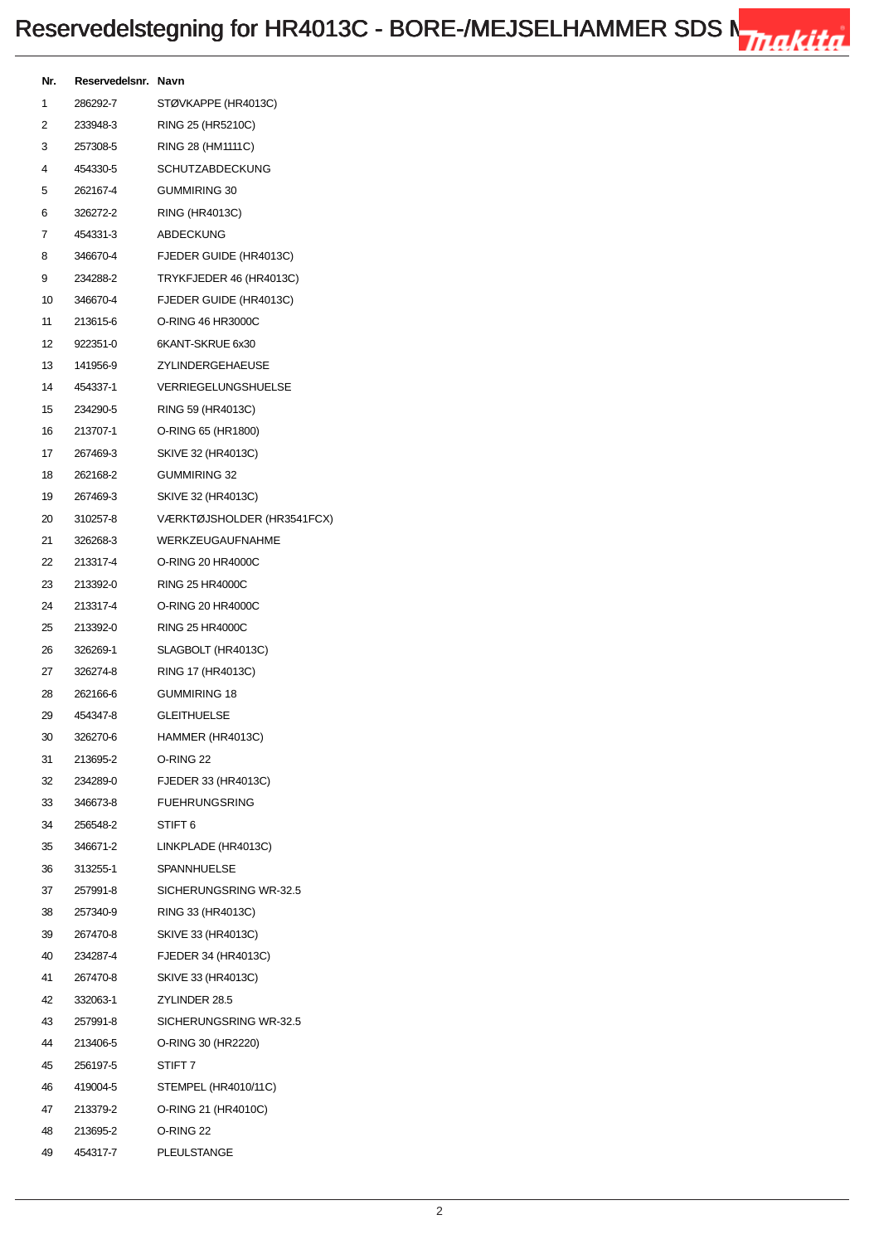| Nr. | Reservedelsnr. Navn |                            |
|-----|---------------------|----------------------------|
| 1   | 286292-7            | STØVKAPPE (HR4013C)        |
| 2   | 233948-3            | RING 25 (HR5210C)          |
| 3   | 257308-5            | RING 28 (HM1111C)          |
| 4   | 454330-5            | <b>SCHUTZABDECKUNG</b>     |
| 5   | 262167-4            | GUMMIRING 30               |
| 6   | 326272-2            | <b>RING (HR4013C)</b>      |
| 7   | 454331-3            | ABDECKUNG                  |
| 8   | 346670-4            | FJEDER GUIDE (HR4013C)     |
| 9   | 234288-2            | TRYKFJEDER 46 (HR4013C)    |
| 10  | 346670-4            | FJEDER GUIDE (HR4013C)     |
| 11  | 213615-6            | O-RING 46 HR3000C          |
|     | 12 922351-0         | 6KANT-SKRUE 6x30           |
| 13  | 141956-9            | ZYLINDERGEHAEUSE           |
|     | 14 454337-1         | <b>VERRIEGELUNGSHUELSE</b> |
| 15  | 234290-5            | RING 59 (HR4013C)          |
| 16  | 213707-1            | O-RING 65 (HR1800)         |
| 17  | 267469-3            | SKIVE 32 (HR4013C)         |
| 18  | 262168-2            | <b>GUMMIRING 32</b>        |
| 19  | 267469-3            | SKIVE 32 (HR4013C)         |
| 20  | 310257-8            | VÆRKTØJSHOLDER (HR3541FCX) |
| 21  | 326268-3            | <b>WERKZEUGAUFNAHME</b>    |
|     | 22 213317-4         | O-RING 20 HR4000C          |
| 23  | 213392-0            | <b>RING 25 HR4000C</b>     |
| 24  | 213317-4            | O-RING 20 HR4000C          |
| 25  | 213392-0            | <b>RING 25 HR4000C</b>     |
| 26  | 326269-1            | SLAGBOLT (HR4013C)         |
|     | 27 326274-8         | RING 17 (HR4013C)          |
| 28  | 262166-6            | <b>GUMMIRING 18</b>        |
| 29  | 454347-8            | <b>GLEITHUELSE</b>         |
| 30  | 326270-6            | HAMMER (HR4013C)           |
| 31  | 213695-2            | O-RING 22                  |
| 32  | 234289-0            | FJEDER 33 (HR4013C)        |
|     | 33 346673-8         | <b>FUEHRUNGSRING</b>       |
| 34  | 256548-2            | STIFT 6                    |
|     | 35 346671-2         | LINKPLADE (HR4013C)        |
| 36  | 313255-1            | SPANNHUELSE                |
| 37  | 257991-8            | SICHERUNGSRING WR-32.5     |
| 38  | 257340-9            | RING 33 (HR4013C)          |
| 39  | 267470-8            | SKIVE 33 (HR4013C)         |
| 40  | 234287-4            | FJEDER 34 (HR4013C)        |
| 41  | 267470-8            | SKIVE 33 (HR4013C)         |
|     | 42 332063-1         | ZYLINDER 28.5              |
| 43  | 257991-8            | SICHERUNGSRING WR-32.5     |
| 44  | 213406-5            | O-RING 30 (HR2220)         |
| 45  | 256197-5            | STIFT <sub>7</sub>         |
|     | 46 419004-5         | STEMPEL (HR4010/11C)       |
| 47  | 213379-2            | O-RING 21 (HR4010C)        |
|     | 48 213695-2         | O-RING 22                  |
| 49  | 454317-7            | PLEULSTANGE                |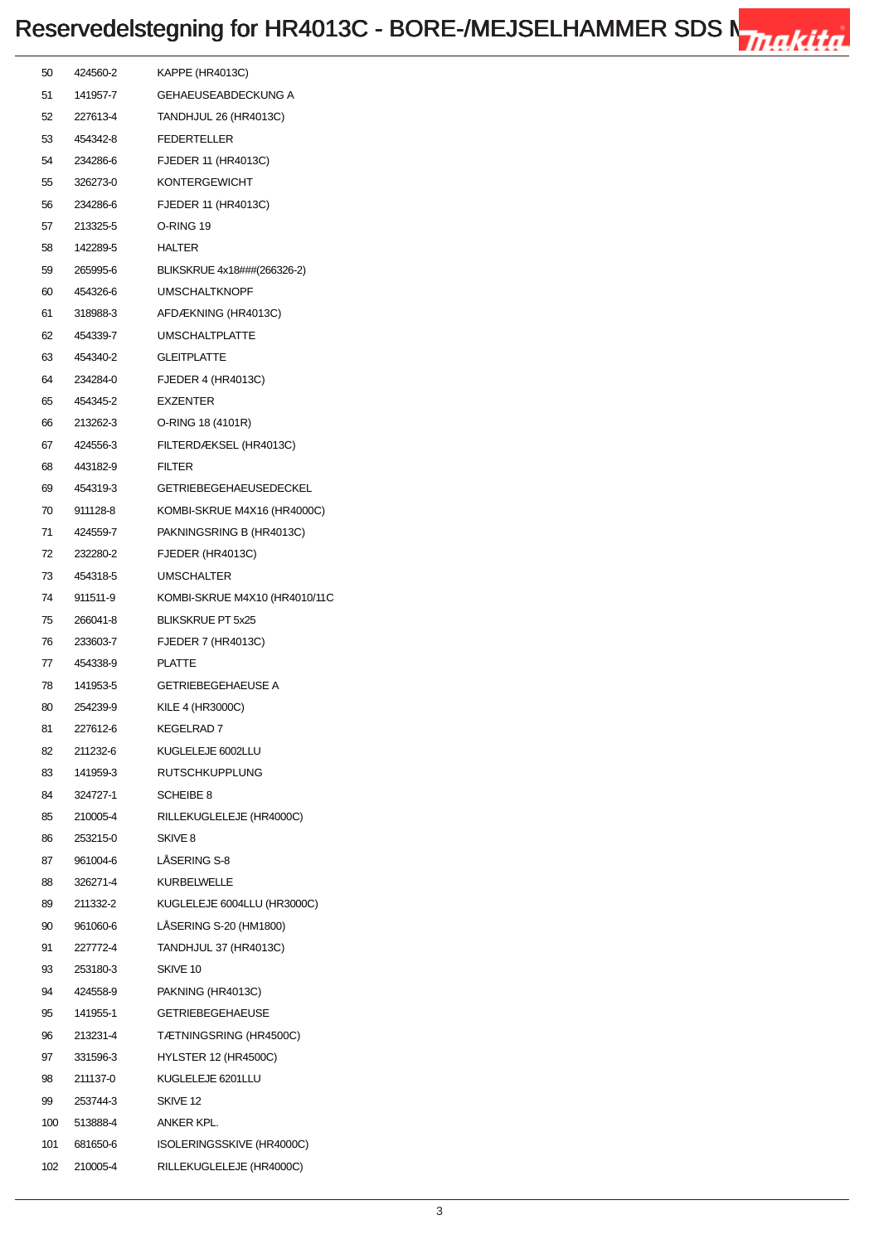## Reservedelstegning for HR4013C - BORE-/MEJSELHAMMER SDS Nuncle Trakita

| 50  | 424560-2     | KAPPE (HR4013C)               |
|-----|--------------|-------------------------------|
| 51  | 141957-7     | <b>GEHAEUSEABDECKUNG A</b>    |
| 52  | 227613-4     | <b>TANDHJUL 26 (HR4013C)</b>  |
| 53  | 454342-8     | <b>FEDERTELLER</b>            |
| 54  | 234286-6     | FJEDER 11 (HR4013C)           |
| 55  | 326273-0     | <b>KONTERGEWICHT</b>          |
| 56  | 234286-6     | FJEDER 11 (HR4013C)           |
| 57  | 213325-5     | O-RING 19                     |
| 58  | 142289-5     | <b>HALTER</b>                 |
| 59  | 265995-6     | BLIKSKRUE 4x18###(266326-2)   |
| 60  | 454326-6     | <b>UMSCHALTKNOPF</b>          |
| 61  | 318988-3     | AFDÆKNING (HR4013C)           |
| 62  | 454339-7     | <b>UMSCHALTPLATTE</b>         |
| 63  | 454340-2     | <b>GLEITPLATTE</b>            |
| 64  | 234284-0     | <b>FJEDER 4 (HR4013C)</b>     |
| 65  | 454345-2     | <b>EXZENTER</b>               |
| 66  | 213262-3     | O-RING 18 (4101R)             |
| 67  | 424556-3     | FILTERDÆKSEL (HR4013C)        |
| 68  | 443182-9     | <b>FILTER</b>                 |
| 69  | 454319-3     | <b>GETRIEBEGEHAEUSEDECKEL</b> |
| 70  | 911128-8     | KOMBI-SKRUE M4X16 (HR4000C)   |
| 71  | 424559-7     | PAKNINGSRING B (HR4013C)      |
| 72  | 232280-2     | FJEDER (HR4013C)              |
| 73  | 454318-5     | <b>UMSCHALTER</b>             |
| 74  | 911511-9     | KOMBI-SKRUE M4X10 (HR4010/11C |
| 75  | 266041-8     | <b>BLIKSKRUE PT 5x25</b>      |
| 76  | 233603-7     | <b>FJEDER 7 (HR4013C)</b>     |
| 77  | 454338-9     | <b>PLATTE</b>                 |
| 78  | 141953-5     | <b>GETRIEBEGEHAEUSE A</b>     |
| 80  | 254239-9     | KILE 4 (HR3000C)              |
| 81  | 227612-6     | KEGELRAD 7                    |
| 82  | 211232-6     | KUGLELEJE 6002LLU             |
| 83  | 141959-3     | <b>RUTSCHKUPPLUNG</b>         |
| 84  | 324727-1     | <b>SCHEIBE 8</b>              |
| 85  | 210005-4     | RILLEKUGLELEJE (HR4000C)      |
| 86  | 253215-0     | SKIVE <sub>8</sub>            |
| 87  | 961004-6     | <b>LASERING S-8</b>           |
| 88  | 326271-4     | <b>KURBELWELLE</b>            |
| 89  | 211332-2     | KUGLELEJE 6004LLU (HR3000C)   |
| 90  | 961060-6     | LÅSERING S-20 (HM1800)        |
| 91  | 227772-4     | TANDHJUL 37 (HR4013C)         |
| 93  | 253180-3     | SKIVE 10                      |
| 94  | 424558-9     | PAKNING (HR4013C)             |
| 95  | 141955-1     | <b>GETRIEBEGEHAEUSE</b>       |
| 96  | 213231-4     | TÆTNINGSRING (HR4500C)        |
| 97  | 331596-3     | <b>HYLSTER 12 (HR4500C)</b>   |
| 98  | 211137-0     | KUGLELEJE 6201LLU             |
| 99  | 253744-3     | SKIVE 12                      |
|     | 100 513888-4 | ANKER KPL.                    |
| 101 | 681650-6     | ISOLERINGSSKIVE (HR4000C)     |
| 102 | 210005-4     | RILLEKUGLELEJE (HR4000C)      |